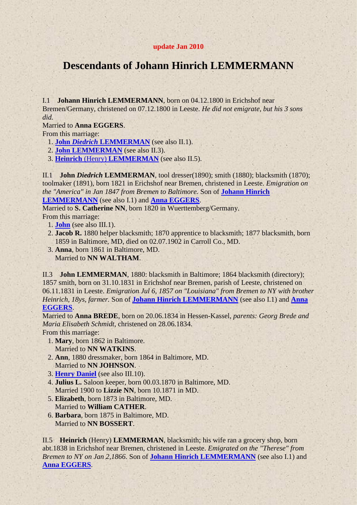## **update Jan 2010**

## **Descendants of Johann Hinrich LEMMERMANN**

<span id="page-0-3"></span>I.1 **Johann Hinrich LEMMERMANN**, born on 04.12.1800 in Erichshof near Bremen/Germany, christened on 07.12.1800 in Leeste. *He did not emigrate, but his 3 sons did.*

Married to **Anna EGGERS**.

From this marriage:

<span id="page-0-4"></span>1. **John** *Diedrich* **[LEMMERMAN](#page-0-0)** (see also II.1).

2. **[John LEMMERMAN](#page-0-1)** (see also II.3).

3. **Heinrich** (Henry) **[LEMMERMAN](#page-0-2)** (see also II.5).

<span id="page-0-0"></span>II.1 **John** *Diedrich* **LEMMERMAN**, tool dresser(1890); smith (1880); blacksmith (1870); toolmaker (1891), born 1821 in Erichshof near Bremen, christened in Leeste. *Emigration on the "America" in Jan 1847 from Bremen to Baltimore.* Son of **[Johann Hinrich](#page-0-3)  [LEMMERMANN](#page-0-3)** (see also I.1) and **[Anna EGGERS](#page-0-4)**.

<span id="page-0-5"></span>Married to **S. Catherine NN**, born 1820 in Wuerttemberg/Germany.

- From this marriage:
	- 1. **[John](#page-1-0)** (see also III.1).
	- 2. **Jacob R.** 1880 helper blacksmith; 1870 apprentice to blacksmith; 1877 blacksmith, born 1859 in Baltimore, MD, died on 02.07.1902 in Carroll Co., MD.
	- 3. **Anna**, born 1861 in Baltimore, MD.

Married to **NN WALTHAM**.

<span id="page-0-1"></span>II.3 **John LEMMERMAN**, 1880: blacksmith in Baltimore; 1864 blacksmith (directory); 1857 smith, born on 31.10.1831 in Erichshof near Bremen, parish of Leeste, christened on 06.11.1831 in Leeste. *Emigration Jul 6, 1857 on "Louisiana" from Bremen to NY with brother Heinrich, 18ys, farmer.* Son of **[Johann Hinrich LEMMERMANN](#page-0-3)** (see also I.1) and **[Anna](#page-0-4)  [EGGERS](#page-0-4)**.

<span id="page-0-6"></span>Married to **Anna BREDE**, born on 20.06.1834 in Hessen-Kassel, *parents: Georg Brede and Maria Elisabeth Schmidt*, christened on 28.06.1834.

From this marriage:

- 1. **Mary**, born 1862 in Baltimore. Married to **NN WATKINS**.
- 2. **Ann**, 1880 dressmaker, born 1864 in Baltimore, MD. Married to **NN JOHNSON**.
- 3. **[Henry Daniel](#page-1-1)** (see also III.10).
- 4. **Julius L.** Saloon keeper, born 00.03.1870 in Baltimore, MD. Married 1900 to **Lizzie NN**, born 10.1871 in MD.
- 5. **Elizabeth**, born 1873 in Baltimore, MD. Married to **William CATHER**.
- 6. **Barbara**, born 1875 in Baltimore, MD. Married to **NN BOSSERT**.

<span id="page-0-2"></span>II.5 **Heinrich** (Henry) **LEMMERMAN**, blacksmith; his wife ran a grocery shop, born abt.1838 in Erichshof near Bremen, christened in Leeste. *Emigrated on the "Therese" from Bremen to NY on Jan 2,1866.* Son of **[Johann Hinrich LEMMERMANN](#page-0-3)** (see also I.1) and **[Anna EGGERS](#page-0-4)**.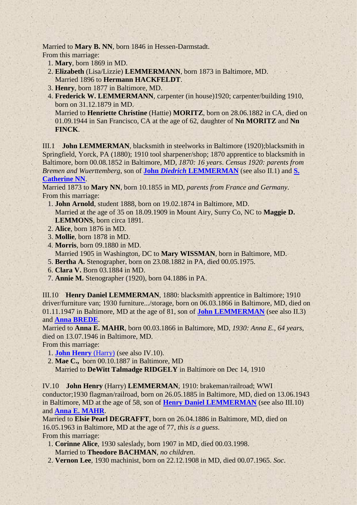Married to **Mary B. NN**, born 1846 in Hessen-Darmstadt. From this marriage:

- 1. **Mary**, born 1869 in MD.
- 2. **Elizabeth** (Lisa/Lizzie) **LEMMERMANN**, born 1873 in Baltimore, MD. Married 1896 to **Hermann HACKFELDT**.
- 3. **Henry**, born 1877 in Baltimore, MD.
- 4. **Frederick W. LEMMERMANN**, carpenter (in house)1920; carpenter/building 1910, born on 31.12.1879 in MD.

Married to **Henriette Christine** (Hattie) **MORITZ**, born on 28.06.1882 in CA, died on 01.09.1944 in San Francisco, CA at the age of 62, daughter of **Nn MORITZ** and **Nn FINCK**.

<span id="page-1-0"></span>III.1 **John LEMMERMAN**, blacksmith in steelworks in Baltimore (1920);blacksmith in Springfield, Yorck, PA (1880); 1910 tool sharpener/shop; 1870 apprentice to blacksmith in Baltimore, born 00.08.1852 in Baltimore, MD, *1870: 16 years*. *Census 1920: parents from Bremen and Wuerttemberg*, son of **John** *Diedrich* **[LEMMERMAN](#page-0-0)** (see also II.1) and **[S.](#page-0-5)  [Catherine NN](#page-0-5)**.

Married 1873 to **Mary NN**, born 10.1855 in MD, *parents from France and Germany*. From this marriage:

- 1. **John Arnold**, student 1888, born on 19.02.1874 in Baltimore, MD. Married at the age of 35 on 18.09.1909 in Mount Airy, Surry Co, NC to **Maggie D. LEMMONS**, born circa 1891.
- 2. **Alice**, born 1876 in MD.
- 3. **Mollie**, born 1878 in MD.
- 4. **Morris**, born 09.1880 in MD. Married 1905 in Washington, DC to **Mary WISSMAN**, born in Baltimore, MD.
- 5. **Bertha A.** Stenographer, born on 23.08.1882 in PA, died 00.05.1975.
- 6. **Clara V.** Born 03.1884 in MD.
- 7. **Annie M.** Stenographer (1920), born 04.1886 in PA.

<span id="page-1-1"></span>III.10 **Henry Daniel LEMMERMAN**, 1880: blacksmith apprentice in Baltimore; 1910 driver/furniture van; 1930 furniture.../storage, born on 06.03.1866 in Baltimore, MD, died on 01.11.1947 in Baltimore, MD at the age of 81, son of **[John LEMMERMAN](#page-0-1)** (see also II.3) and **[Anna BREDE](#page-0-6)**.

<span id="page-1-3"></span>Married to **Anna E. MAHR**, born 00.03.1866 in Baltimore, MD, *1930: Anna E., 64 years*, died on 13.07.1946 in Baltimore, MD.

From this marriage:

- 1. **[John Henry](#page-1-2)** (Harry) (see also IV.10).
- 2. **Mae C.,** born 00.10.1887 in Baltimore, MD Married to **DeWitt Talmadge RIDGELY** in Baltimore on Dec 14, 1910

<span id="page-1-2"></span>IV.10 **John Henry** (Harry) **LEMMERMAN**, 1910: brakeman/railroad; WWI conductor;1930 flagman/railroad, born on 26.05.1885 in Baltimore, MD, died on 13.06.1943 in Baltimore, MD at the age of 58, son of **[Henry Daniel LEMMERMAN](#page-1-1)** (see also III.10) and **[Anna E. MAHR](#page-1-3)**.

<span id="page-1-4"></span>Married to **Elsie Pearl DEGRAFFT**, born on 26.04.1886 in Baltimore, MD, died on 16.05.1963 in Baltimore, MD at the age of 77, *this is a guess*. From this marriage:

- 1. **Corinne Alice**, 1930 saleslady, born 1907 in MD, died 00.03.1998. Married to **Theodore BACHMAN**, *no children*.
- 2. **Vernon Lee**, 1930 machinist, born on 22.12.1908 in MD, died 00.07.1965. *Soc*.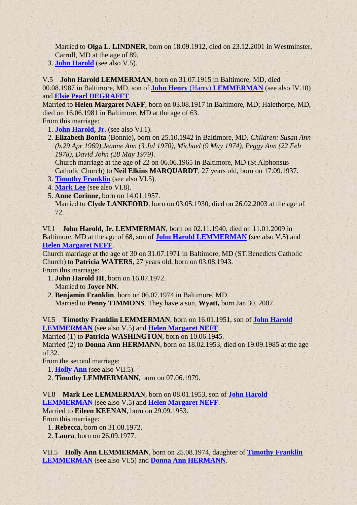Married to **Olga L. LINDNER**, born on 18.09.1912, died on 23.12.2001 in Westminster, Carroll, MD at the age of 89.

3. **[John Harold](#page-2-0)** (see also V.5).

<span id="page-2-0"></span>V.5 **John Harold LEMMERMAN**, born on 31.07.1915 in Baltimore, MD, died 00.08.1987 in Baltimore, MD, son of **John Henry** (Harry) **[LEMMERMAN](#page-1-2)** (see also IV.10) and **[Elsie Pearl DEGRAFFT](#page-1-4)**.

<span id="page-2-4"></span>Married to **Helen Margaret NAFF**, born on 03.08.1917 in Baltimore, MD; Halethorpe, MD, died on 16.06.1981 in Baltimore, MD at the age of 63.

From this marriage:

- 1. **[John Harold, Jr.](#page-2-1)** (see also VI.1).
- 2. **Elizabeth Bonita** (Bonnie), born on 25.10.1942 in Baltimore, MD. *Children: Susan Ann (b.29 Apr 1969),Jeanne Ann (3 Jul 1970), Michael (9 May 1974), Peggy Ann (22 Feb 1978), David John (28 May 1979)*.

Church marriage at the age of 22 on 06.06.1965 in Baltimore, MD (St.Alphonsus Catholic Church) to **Neil Elkins MARQUARDT**, 27 years old, born on 17.09.1937.

- 3. **[Timothy Franklin](#page-2-2)** (see also VI.5).
- 4. **[Mark Lee](#page-2-3)** (see also VI.8).
- 5. **Anne Corinne**, born on 14.01.1957.

Married to **Clyde LANKFORD**, born on 03.05.1930, died on 26.02.2003 at the age of 72.

<span id="page-2-1"></span>VI.1 **John Harold, Jr. LEMMERMAN**, born on 02.11.1940, died on 11.01.2009 in Baltimore, MD at the age of 68, son of **[John Harold LEMMERMAN](#page-2-0)** (see also V.5) and **[Helen Margaret NEFF](#page-2-4)**.

Church marriage at the age of 30 on 31.07.1971 in Baltimore, MD (ST.Benedicts Catholic Church) to **Patricia WATERS**, 27 years old, born on 03.08.1943.

From this marriage:

- 1. **John Harold III**, born on 16.07.1972. Married to **Joyce NN**.
- 2. **Benjamin Franklin**, born on 06.07.1974 in Baltimore, MD. Married to **Penny TIMMONS**. They have a son, **Wyatt,** born Jan 30, 2007.

<span id="page-2-2"></span>VI.5 **Timothy Franklin LEMMERMAN**, born on 16.01.1951, son of **[John Harold](#page-2-0)  [LEMMERMAN](#page-2-0)** (see also V.5) and **[Helen Margaret NEFF](#page-2-4)**.

Married (1) to **Patricia WASHINGTON**, born on 10.06.1945.

<span id="page-2-6"></span>Married (2) to **Donna Ann HERMANN**, born on 18.02.1953, died on 19.09.1985 at the age of 32.

From the second marriage:

- 1. **[Holly Ann](#page-2-5)** (see also VII.5).
- 2. **Timothy LEMMERMANN**, born on 07.06.1979.

<span id="page-2-3"></span>VI.8 **Mark Lee LEMMERMAN**, born on 08.01.1953, son of **[John Harold](#page-2-0)  [LEMMERMAN](#page-2-0)** (see also V.5) and **[Helen Margaret NEFF](#page-2-4)**.

Married to **Eileen KEENAN**, born on 29.09.1953.

From this marriage:

1. **Rebecca**, born on 31.08.1972.

2. **Laura**, born on 26.09.1977.

<span id="page-2-5"></span>VII.5 **Holly Ann LEMMERMAN**, born on 25.08.1974, daughter of **[Timothy Franklin](#page-2-2)  [LEMMERMAN](#page-2-2)** (see also VI.5) and **[Donna Ann HERMANN](#page-2-6)**.